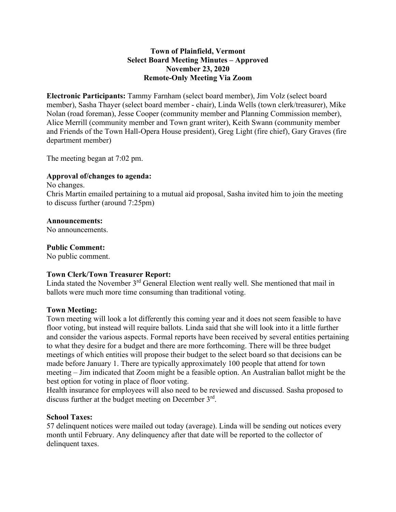### **Town of Plainfield, Vermont Select Board Meeting Minutes – Approved November 23, 2020 Remote-Only Meeting Via Zoom**

**Electronic Participants:** Tammy Farnham (select board member), Jim Volz (select board member), Sasha Thayer (select board member - chair), Linda Wells (town clerk/treasurer), Mike Nolan (road foreman), Jesse Cooper (community member and Planning Commission member), Alice Merrill (community member and Town grant writer), Keith Swann (community member and Friends of the Town Hall-Opera House president), Greg Light (fire chief), Gary Graves (fire department member)

The meeting began at 7:02 pm.

### **Approval of/changes to agenda:**

No changes. Chris Martin emailed pertaining to a mutual aid proposal, Sasha invited him to join the meeting to discuss further (around 7:25pm)

### **Announcements:**

No announcements.

### **Public Comment:**

No public comment.

#### **Town Clerk/Town Treasurer Report:**

Linda stated the November 3<sup>rd</sup> General Election went really well. She mentioned that mail in ballots were much more time consuming than traditional voting.

#### **Town Meeting:**

Town meeting will look a lot differently this coming year and it does not seem feasible to have floor voting, but instead will require ballots. Linda said that she will look into it a little further and consider the various aspects. Formal reports have been received by several entities pertaining to what they desire for a budget and there are more forthcoming. There will be three budget meetings of which entities will propose their budget to the select board so that decisions can be made before January 1. There are typically approximately 100 people that attend for town meeting – Jim indicated that Zoom might be a feasible option. An Australian ballot might be the best option for voting in place of floor voting.

Health insurance for employees will also need to be reviewed and discussed. Sasha proposed to discuss further at the budget meeting on December 3rd.

#### **School Taxes:**

57 delinquent notices were mailed out today (average). Linda will be sending out notices every month until February. Any delinquency after that date will be reported to the collector of delinquent taxes.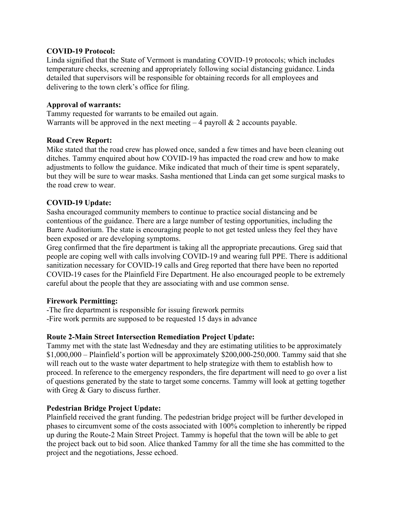#### **COVID-19 Protocol:**

Linda signified that the State of Vermont is mandating COVID-19 protocols; which includes temperature checks, screening and appropriately following social distancing guidance. Linda detailed that supervisors will be responsible for obtaining records for all employees and delivering to the town clerk's office for filing.

### **Approval of warrants:**

Tammy requested for warrants to be emailed out again. Warrants will be approved in the next meeting  $-4$  payroll  $\&$  2 accounts payable.

### **Road Crew Report:**

Mike stated that the road crew has plowed once, sanded a few times and have been cleaning out ditches. Tammy enquired about how COVID-19 has impacted the road crew and how to make adjustments to follow the guidance. Mike indicated that much of their time is spent separately, but they will be sure to wear masks. Sasha mentioned that Linda can get some surgical masks to the road crew to wear.

## **COVID-19 Update:**

Sasha encouraged community members to continue to practice social distancing and be contentious of the guidance. There are a large number of testing opportunities, including the Barre Auditorium. The state is encouraging people to not get tested unless they feel they have been exposed or are developing symptoms.

Greg confirmed that the fire department is taking all the appropriate precautions. Greg said that people are coping well with calls involving COVID-19 and wearing full PPE. There is additional sanitization necessary for COVID-19 calls and Greg reported that there have been no reported COVID-19 cases for the Plainfield Fire Department. He also encouraged people to be extremely careful about the people that they are associating with and use common sense.

## **Firework Permitting:**

-The fire department is responsible for issuing firework permits

-Fire work permits are supposed to be requested 15 days in advance

## **Route 2-Main Street Intersection Remediation Project Update:**

Tammy met with the state last Wednesday and they are estimating utilities to be approximately  $$1,000,000 - \text{Plainfield's portion will be approximately $200,000-250,000. Tammy said that she$ will reach out to the waste water department to help strategize with them to establish how to proceed. In reference to the emergency responders, the fire department will need to go over a list of questions generated by the state to target some concerns. Tammy will look at getting together with Greg & Gary to discuss further.

## **Pedestrian Bridge Project Update:**

Plainfield received the grant funding. The pedestrian bridge project will be further developed in phases to circumvent some of the costs associated with 100% completion to inherently be ripped up during the Route-2 Main Street Project. Tammy is hopeful that the town will be able to get the project back out to bid soon. Alice thanked Tammy for all the time she has committed to the project and the negotiations, Jesse echoed.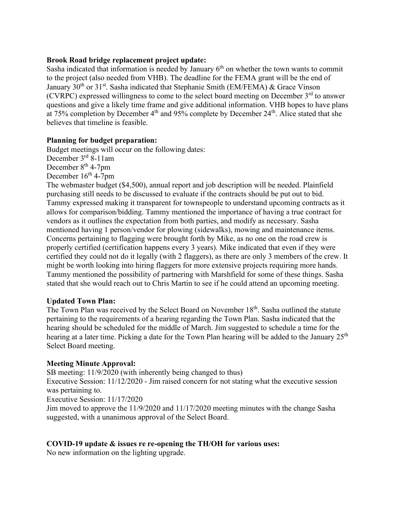#### **Brook Road bridge replacement project update:**

Sasha indicated that information is needed by January  $6<sup>th</sup>$  on whether the town wants to commit to the project (also needed from VHB). The deadline for the FEMA grant will be the end of January  $30<sup>th</sup>$  or  $31<sup>st</sup>$ . Sasha indicated that Stephanie Smith (EM/FEMA) & Grace Vinson (CVRPC) expressed willingness to come to the select board meeting on December  $3<sup>rd</sup>$  to answer questions and give a likely time frame and give additional information. VHB hopes to have plans at 75% completion by December  $4<sup>th</sup>$  and 95% complete by December  $24<sup>th</sup>$ . Alice stated that she believes that timeline is feasible.

### **Planning for budget preparation:**

Budget meetings will occur on the following dates:

December 3rd 8-11am

December  $8<sup>th</sup>$  4-7pm

December  $16^{th}$  4-7pm

The webmaster budget (\$4,500), annual report and job description will be needed. Plainfield purchasing still needs to be discussed to evaluate if the contracts should be put out to bid. Tammy expressed making it transparent for townspeople to understand upcoming contracts as it allows for comparison/bidding. Tammy mentioned the importance of having a true contract for vendors as it outlines the expectation from both parties, and modify as necessary. Sasha mentioned having 1 person/vendor for plowing (sidewalks), mowing and maintenance items. Concerns pertaining to flagging were brought forth by Mike, as no one on the road crew is properly certified (certification happens every 3 years). Mike indicated that even if they were certified they could not do it legally (with 2 flaggers), as there are only 3 members of the crew. It might be worth looking into hiring flaggers for more extensive projects requiring more hands. Tammy mentioned the possibility of partnering with Marshfield for some of these things. Sasha stated that she would reach out to Chris Martin to see if he could attend an upcoming meeting.

#### **Updated Town Plan:**

The Town Plan was received by the Select Board on November 18<sup>th</sup>. Sasha outlined the statute pertaining to the requirements of a hearing regarding the Town Plan. Sasha indicated that the hearing should be scheduled for the middle of March. Jim suggested to schedule a time for the hearing at a later time. Picking a date for the Town Plan hearing will be added to the January  $25<sup>th</sup>$ Select Board meeting.

#### **Meeting Minute Approval:**

SB meeting: 11/9/2020 (with inherently being changed to thus)

Executive Session: 11/12/2020 - Jim raised concern for not stating what the executive session was pertaining to.

Executive Session: 11/17/2020

Jim moved to approve the 11/9/2020 and 11/17/2020 meeting minutes with the change Sasha suggested, with a unanimous approval of the Select Board.

## **COVID-19 update & issues re re-opening the TH/OH for various uses:**

No new information on the lighting upgrade.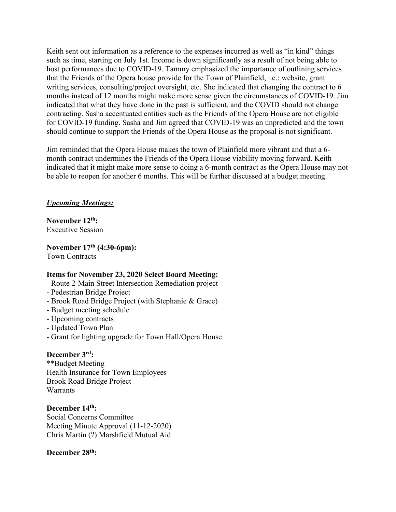Keith sent out information as a reference to the expenses incurred as well as "in kind" things such as time, starting on July 1st. Income is down significantly as a result of not being able to host performances due to COVID-19. Tammy emphasized the importance of outlining services that the Friends of the Opera house provide for the Town of Plainfield, i.e.: website, grant writing services, consulting/project oversight, etc. She indicated that changing the contract to 6 months instead of 12 months might make more sense given the circumstances of COVID-19. Jim indicated that what they have done in the past is sufficient, and the COVID should not change contracting. Sasha accentuated entities such as the Friends of the Opera House are not eligible for COVID-19 funding. Sasha and Jim agreed that COVID-19 was an unpredicted and the town should continue to support the Friends of the Opera House as the proposal is not significant.

Jim reminded that the Opera House makes the town of Plainfield more vibrant and that a 6 month contract undermines the Friends of the Opera House viability moving forward. Keith indicated that it might make more sense to doing a 6-month contract as the Opera House may not be able to reopen for another 6 months. This will be further discussed at a budget meeting.

## *Upcoming Meetings:*

**November 12th:** Executive Session

**November 17th (4:30-6pm):** Town Contracts

## **Items for November 23, 2020 Select Board Meeting:**

- Route 2-Main Street Intersection Remediation project
- Pedestrian Bridge Project
- Brook Road Bridge Project (with Stephanie & Grace)
- Budget meeting schedule
- Upcoming contracts
- Updated Town Plan
- Grant for lighting upgrade for Town Hall/Opera House

## **December 3rd:**

\*\*Budget Meeting Health Insurance for Town Employees Brook Road Bridge Project **Warrants** 

**December 14th:** Social Concerns Committee Meeting Minute Approval (11-12-2020) Chris Martin (?) Marshfield Mutual Aid

## **December 28th:**